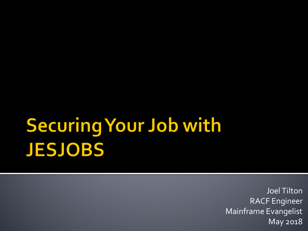## **Securing Your Job with JESJOBS**

Joel Tilton RACF Engineer Mainframe Evangelist May 2018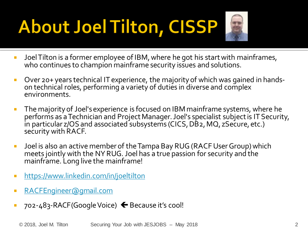# **About Joel Tilton, CISSP**



- **Joel Tilton is a former employee of IBM, where he got his start with mainframes,** who continues to champion mainframe security issues and solutions.
- Over 20+ years technical IT experience, the majority of which was gained in hands- on technical roles, performing a variety of duties in diverse and complex environments.
- **The majority of Joel's experience is focused on IBM mainframe systems, where he** performs as a Technician and Project Manager. Joel's specialist subject is IT Security, in particular z/OS and associated subsystems (CICS, DB2, MQ, zSecure, etc.) security with RACF.
- Joel is also an active member of the Tampa Bay RUG (RACF User Group) which meets jointly with the NY RUG. Joel has a true passion for security and the mainframe. Long live the mainframe!
- <https://www.linkedin.com/in/joeltilton>
- [RACFEngineer@gmail.com](mailto:RACFEngineer@gmail.com)
- $\blacksquare$  702-483-RACF(Google Voice)  $\blacklozenge$  Because it's cool!

© 2018, Joel M. Tilton Securing Your Job with JESJOBS – May 2018 2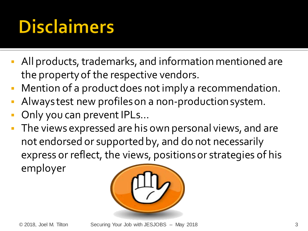## **Disclaimers**

- All products, trademarks, and information mentioned are the property of the respective vendors.
- Mention of a product does not imply a recommendation.
- Always test new profiles on a non-production system.
- Only you can prevent IPLs…
- The views expressed are his own personal views, and are not endorsed or supported by, and do not necessarily express or reflect, the views, positions or strategies of his employer

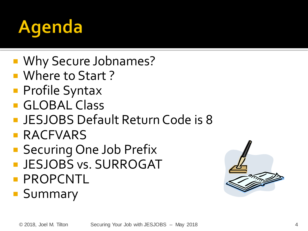

- Why Secure Jobnames?
- **Nhere to Start?**
- **Profile Syntax**
- **GLOBAL Class**
- **JESJOBS Default Return Code is 8**
- **RACFVARS**
- Securing One Job Prefix
- **JESJOBS vs. SURROGAT**
- **PROPCNTL**
- **Summary**

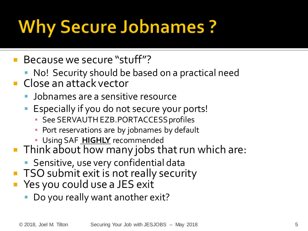## **Why Secure Jobnames ?**

- **Because we secure "stuff"?** 
	- No! Security should be based on a practical need
- Close an attack vector
	- Jobnames are a sensitive resource
	- Especially if you do not secure your ports!
		- See SERVAUTH EZB.PORTACCESS profiles
		- **Port reservations are by jobnames by default**
		- **· Using SAF HIGHLY** recommended
- Think about how many jobs that run which are:
	- **Sensitive, use very confidential data**
- **TSO** submit exit is not really security
- **Part Yes you could use a JES exit** 
	- **Do you really want another exit?**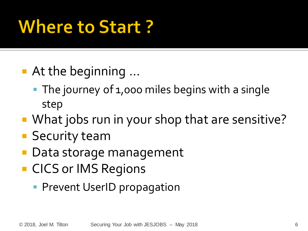## **Where to Start?**

- At the beginning ...
	- The journey of 1,000 miles begins with a single step
- What jobs run in your shop that are sensitive?
- **Security team**
- Data storage management
- **CICS or IMS Regions** 
	- **Prevent UserID propagation**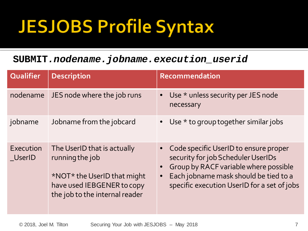## **JESJOBS Profile Syntax**

#### **SUBMIT***.nodename.jobname.execution\_userid*

| <b>Qualifier</b>           | <b>Description</b>                                                                                                                            | Recommendation                                                                                                                                                                                               |
|----------------------------|-----------------------------------------------------------------------------------------------------------------------------------------------|--------------------------------------------------------------------------------------------------------------------------------------------------------------------------------------------------------------|
| nodename                   | JES node where the job runs                                                                                                                   | • Use * unless security per JES node<br>necessary                                                                                                                                                            |
| jobname                    | Jobname from the jobcard                                                                                                                      | • Use $*$ to group together similar jobs                                                                                                                                                                     |
| Execution<br><b>UserID</b> | The UserID that is actually<br>running the job<br>*NOT* the UserID that might<br>have used IEBGENER to copy<br>the job to the internal reader | Code specific UserID to ensure proper<br>security for job Scheduler UserIDs<br>Group by RACF variable where possible<br>Each jobname mask should be tied to a<br>specific execution UserID for a set of jobs |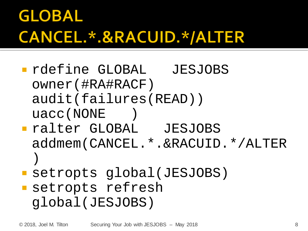### **GLOBAL** CANCEL.\*.&RACUID.\*/ALTER

- rdefine GLOBAL JESJOBS owner(#RA#RACF) audit(failures(READ)) uacc(NONE )
- ralter GLOBAL JESJOBS addmem(CANCEL.\*.&RACUID.\*/ALTER )
- setropts global(JESJOBS) setropts refresh global(JESJOBS)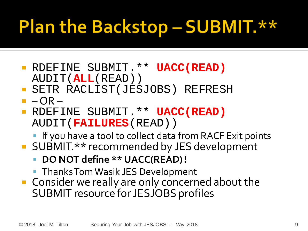## Plan the Backstop - SUBMIT. \*\*

- RDEFINE SUBMIT.\*\* **UACC(READ)**  AUDIT(**ALL**(READ))
- SETR RACLIST(JESJOBS) REFRESH
- $-OR-$
- RDEFINE SUBMIT.\*\* **UACC(READ)**  AUDIT(**FAILURES**(READ))
	- **If you have a tool to collect data from RACF Exit points**
- **SUBMIT.\*\*** recommended by JES development
	- **DO NOT define \*\* UACC(READ) !**
	- **Thanks Tom Wasik JES Development**
- **Consider we really are only concerned about the** SUBMIT resource for JESJOBS profiles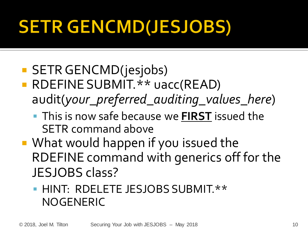## **SETR GENCMD(JESJOBS)**

#### **SETR GENCMD(jesjobs)**

- **RDEFINE SUBMIT.\*\* uacc(READ)** audit(*your\_preferred\_auditing\_values\_here*)
	- This is now safe because we **FIRST** issued the SETR command above
- What would happen if you issued the RDEFINE command with generics off for the JESJOBS class?

#### **HINT: RDELETE JESJOBS SUBMIT.\*\*** NOGENERIC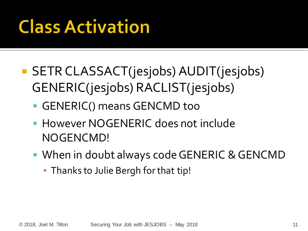## **Class Activation**

- SETR CLASSACT(jesjobs) AUDIT(jesjobs) GENERIC(jesjobs) RACLIST(jesjobs)
	- GENERIC() means GENCMD too
	- **However NOGENERIC does not include** NOGENCMD!
	- When in doubt always code GENERIC & GENCMD
		- **Thanks to Julie Bergh for that tip!**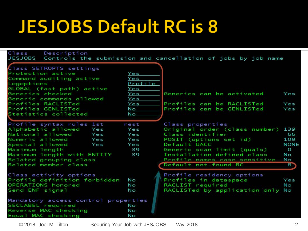### **JESJOBS Default RC is 8**

| Class<br>Description<br><b>JESJOBS</b>                                                                                                                                                                                                 |                                                   | Controls the submission and cancellation of jobs by job name                                                                                                                                                                        |                                                               |
|----------------------------------------------------------------------------------------------------------------------------------------------------------------------------------------------------------------------------------------|---------------------------------------------------|-------------------------------------------------------------------------------------------------------------------------------------------------------------------------------------------------------------------------------------|---------------------------------------------------------------|
| Class SETROPTS settings<br>Protection active<br>Command auditing active<br>Logoptions<br>GLOBAL (fast path) active<br>Generics checked<br>Generic commands allowed<br>Profiles RACLISTed                                               | Yes<br>Yes<br>Profile<br>Yes<br>Yes<br>Yes<br>Yes | Generics can be activated<br>Profiles can be RACLISTed                                                                                                                                                                              | Yes<br>Yes                                                    |
| Profiles GENLISTed<br>Statistics collected                                                                                                                                                                                             | No<br>No                                          | Profiles can be GENLISTed                                                                                                                                                                                                           | Yes                                                           |
| Profile syntax rules 1st<br>Alphabetic allowed<br>Yes<br>National allowed<br>Yes<br>Numeric allowed<br>Yes<br>Special allowed<br>Yes<br>Maximum length<br>Maximum length with ENTITY<br>Related grouping class<br>Related member class | rest<br>Yes<br>Yes<br>Yes<br>Yes<br>39<br>39      | Class properties<br>Original order (class number)<br>Class identifier<br>POSIT (options set id)<br>Default UACC<br>Generic scan limit (quals)<br>Installation-defined class<br>Profile names case sensitive<br>Default not-found RC | 139<br>66<br>109<br><b>NONE</b><br>$\circ$<br>No<br>No<br>-87 |
| Class activity options<br>Profile definition forbidden<br>OPERATIONS honored<br>Send ENF signal<br>Mandatory access control properties<br>SECLABEL required<br>Reverse MAC checking<br>Equal MAC checking                              | No<br>No<br>No<br>No<br>No<br>Nο                  | Profile residency options<br>Profiles in dataspace<br>RACLIST required<br>RACLISTed by application only No                                                                                                                          | Yes<br>No                                                     |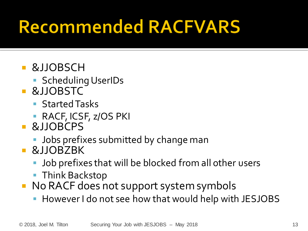### **Recommended RACFVARS**

- &JJOBSCH
	- **Scheduling UserIDs**
- &JJOBSTC
	- **Started Tasks**
	- **RACF, ICSF, z/OS PKI**
- &JJOBCPS
	- **Jobs prefixes submitted by change man**
- &JJOBZBK
	- Job prefixes that will be blocked from all other users
	- **Think Backstop**
- No RACF does not support system symbols
	- However I do not see how that would help with JESJOBS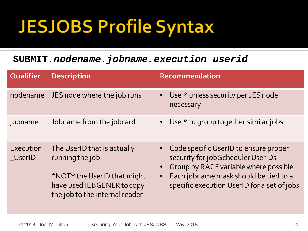## **JESJOBS Profile Syntax**

#### **SUBMIT***.nodename.jobname.execution\_userid*

| <b>Qualifier</b>           | <b>Description</b>                                                                                                                            | Recommendation                                                                                                                                                                                               |
|----------------------------|-----------------------------------------------------------------------------------------------------------------------------------------------|--------------------------------------------------------------------------------------------------------------------------------------------------------------------------------------------------------------|
| nodename                   | JES node where the job runs                                                                                                                   | Use * unless security per JES node<br>necessary                                                                                                                                                              |
| jobname                    | Jobname from the jobcard                                                                                                                      | • Use $*$ to group together similar jobs                                                                                                                                                                     |
| Execution<br><b>UserID</b> | The UserID that is actually<br>running the job<br>*NOT* the UserID that might<br>have used IEBGENER to copy<br>the job to the internal reader | Code specific UserID to ensure proper<br>security for job Scheduler UserIDs<br>Group by RACF variable where possible<br>Each jobname mask should be tied to a<br>specific execution UserID for a set of jobs |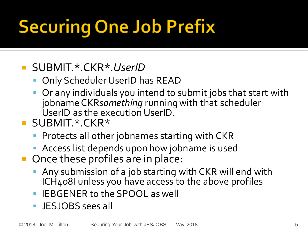# **Securing One Job Prefix**

#### SUBMIT.\*.CKR\*.*UserID*

- Only Scheduler UserID has READ
- Or any individuals you intend to submit jobs that start with jobnameCKR*something* running with that scheduler UserID as the execution UserID.
- **SUBMIT\*CKR\*** 
	- **Protects all other jobnames starting with CKR**
	- **Access list depends upon how jobname is used**
- Once these profiles are in place:
	- Any submission of a job starting with CKR will end with ICH408I unless you have access to the above profiles
	- IEBGENER to the SPOOL as well
	- JESJOBS sees all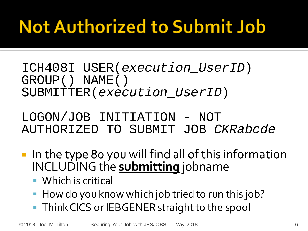## **Not Authorized to Submit Job**

ICH408I USER(*execution\_UserID*) GROUP() NAME() SUBMITTER(*execution\_UserID*)

LOGON/JOB INITIATION - NOT AUTHORIZED TO SUBMIT JOB *CKRabcde*

- In the type 80 you will find all of this information INCLUDING the **submitting** jobname
	- Which is critical
	- How do you know which job tried to run this job?
	- **Think CICS or IEBGENER straight to the spool**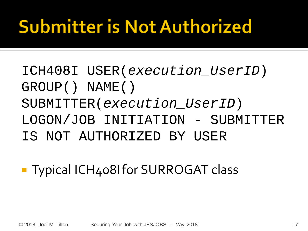## **Submitter is Not Authorized**

- ICH408I USER(*execution\_UserID*) GROUP() NAME() SUBMITTER(*execution\_UserID*) LOGON/JOB INITIATION - SUBMITTER IS NOT AUTHORIZED BY USER
- **Typical ICH408I for SURROGAT class**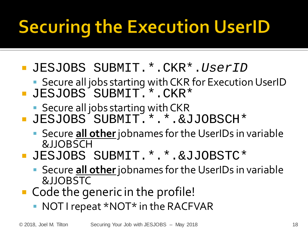# **Securing the Execution UserID**

- JESJOBS SUBMIT.\*.CKR\*.*UserID*
	- Secure all jobs starting with CKR for Execution UserID
- JESJOBS SUBMIT.\*.CKR\*
	- **Secure all jobs starting with CKR**
- JESJOBS SUBMIT.\*.\*.&JJOBSCH\*
	- Secure **all other**jobnames for the UserIDs in variable &JJOBSCH
- JESJOBS SUBMIT.\*.\*.&JJOBSTC\*
	- Secure **all other**jobnames for the UserIDs in variable &JJOBSTC
- Code the generic in the profile!
	- NOT I repeat \*NOT\* in the RACFVAR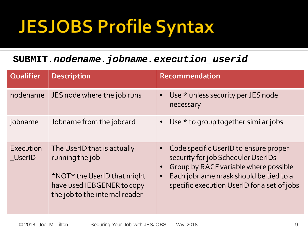## **JESJOBS Profile Syntax**

#### **SUBMIT***.nodename.jobname.execution\_userid*

| <b>Qualifier</b>           | <b>Description</b>                                                                                                                            | Recommendation                                                                                                                                                                                               |
|----------------------------|-----------------------------------------------------------------------------------------------------------------------------------------------|--------------------------------------------------------------------------------------------------------------------------------------------------------------------------------------------------------------|
| nodename                   | JES node where the job runs                                                                                                                   | Use $*$ unless security per JES node<br>necessary                                                                                                                                                            |
| jobname                    | Jobname from the jobcard                                                                                                                      | • Use $*$ to group together similar jobs                                                                                                                                                                     |
| Execution<br><b>UserID</b> | The UserID that is actually<br>running the job<br>*NOT* the UserID that might<br>have used IEBGENER to copy<br>the job to the internal reader | Code specific UserID to ensure proper<br>security for job Scheduler UserIDs<br>Group by RACF variable where possible<br>Each jobname mask should be tied to a<br>specific execution UserID for a set of jobs |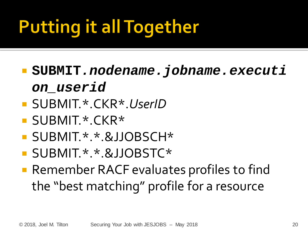# **Putting it all Together**

- **SUBMIT***.nodename.jobname.executi on\_userid*
- SUBMIT.\*.CKR\*.*UserID*
- SUBMIT.\*.CKR\*
- SUBMIT \* \* &JJOBSCH\*
- SUBMIT.\*.\*.&JJOBSTC\*
- Remember RACF evaluates profiles to find the "best matching" profile for a resource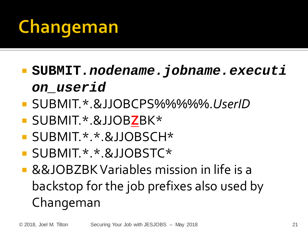## Changeman

- **SUBMIT***.nodename.jobname.executi on\_userid*
- SUBMIT.\*.&JJOBCPS%%%%%.*UserID*
- SUBMIT.\*.&JJOB**Z**BK\*
- SUBMIT.\*.\*.&JJOBSCH\*
- **SUBMIT.\*.\*.&JJOBSTC\***
- &&JOBZBK Variables mission in life is a backstop for the job prefixes also used by Changeman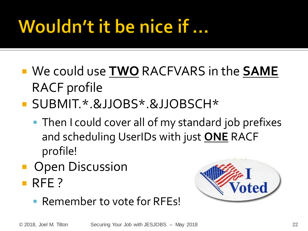## Wouldn't it be nice if ...

- We could use **TWO** RACFVARS in the **SAME**  RACF profile
- SUBMIT.\*.&JJOBS\*.&JJOBSCH\*
	- **Then I could cover all of my standard job prefixes** and scheduling UserIDs with just **ONE** RACF profile!
- Open Discussion RFE?
	- **Remember to vote for RFEs!**

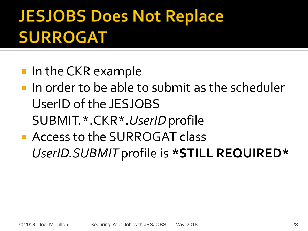#### **JESJOBS Does Not Replace SURROGAT**

- In the CKR example
- **If** in order to be able to submit as the scheduler UserID of the JESJOBS SUBMIT.\*.CKR\*.*UserID*profile
- **Access to the SURROGAT class** *UserID.SUBMIT* profile is **\*STILL REQUIRED\***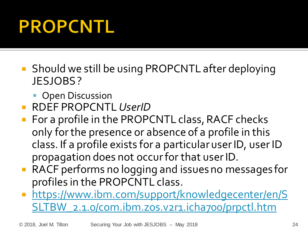## **PROPCNTL**

- Should we still be using PROPCNTL after deploying JESJOBS ?
	- **Open Discussion**
- RDEF PROPCNTL *UserID*
- For a profile in the PROPCNTL class, RACF checks only for the presence or absence of a profile in this class. If a profile exists for a particular user ID, user ID propagation does not occur for that user ID.
- RACF performs no logging and issues no messages for profiles in the PROPCNTL class.
- **https://www.ibm.com/support/knowledgecenter/en/S** [SLTBW\\_2.1.0/com.ibm.zos.v2r1.icha700/prpctl.htm](https://www.ibm.com/support/knowledgecenter/en/SSLTBW_2.1.0/com.ibm.zos.v2r1.icha700/prpctl.htm)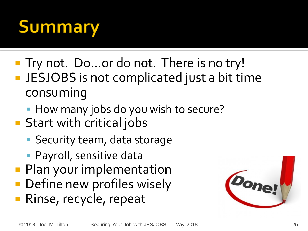## **Summary**

- Try not. Do...or do not. There is no try! **JESJOBS** is not complicated just a bit time consuming
	- How many jobs do you wish to secure?
- **Start with critical jobs** 
	- **Security team, data storage**
	- **Payroll, sensitive data**
- **Plan your implementation**
- Define new profiles wisely
- Rinse, recycle, repeat